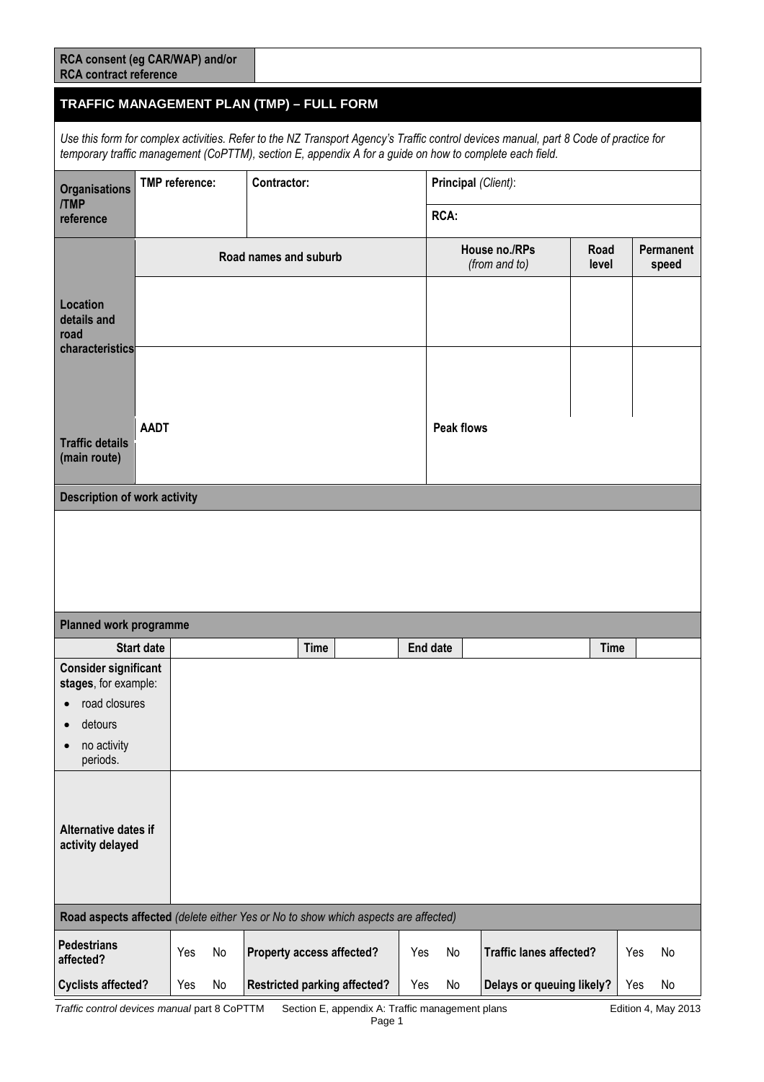| RCA consent (eg CAR/WAP) and/or<br><b>RCA contract reference</b> |  |
|------------------------------------------------------------------|--|
|------------------------------------------------------------------|--|

## **TRAFFIC MANAGEMENT PLAN (TMP) – FULL FORM**

*Use this form for complex activities. Refer to the NZ Transport Agency's Traffic control devices manual, part 8 Code of practice for temporary traffic management (CoPTTM), section E, appendix A for a guide on how to complete each field.*

| <b>Organisations</b><br><b>TMP</b>                        | <b>TMP</b> reference: | Contractor: |                                                                                    |             | Principal (Client): |    |                                |               |     |                    |
|-----------------------------------------------------------|-----------------------|-------------|------------------------------------------------------------------------------------|-------------|---------------------|----|--------------------------------|---------------|-----|--------------------|
| reference                                                 |                       |             |                                                                                    | <b>RCA:</b> |                     |    |                                |               |     |                    |
|                                                           |                       |             | Road names and suburb                                                              |             |                     |    | House no./RPs<br>(from and to) | Road<br>level |     | Permanent<br>speed |
| <b>Location</b><br>details and<br>road<br>characteristics |                       |             |                                                                                    |             |                     |    |                                |               |     |                    |
|                                                           |                       |             |                                                                                    |             |                     |    |                                |               |     |                    |
| <b>Traffic details</b><br>(main route)                    | <b>AADT</b>           |             |                                                                                    |             | <b>Peak flows</b>   |    |                                |               |     |                    |
| <b>Description of work activity</b>                       |                       |             |                                                                                    |             |                     |    |                                |               |     |                    |
|                                                           |                       |             |                                                                                    |             |                     |    |                                |               |     |                    |
| <b>Planned work programme</b>                             |                       |             |                                                                                    |             |                     |    |                                |               |     |                    |
|                                                           | <b>Start date</b>     |             | <b>Time</b>                                                                        |             | <b>End date</b>     |    |                                | <b>Time</b>   |     |                    |
| <b>Consider significant</b><br>stages, for example:       |                       |             |                                                                                    |             |                     |    |                                |               |     |                    |
| road closures<br>$\bullet$                                |                       |             |                                                                                    |             |                     |    |                                |               |     |                    |
| detours<br>$\bullet$                                      |                       |             |                                                                                    |             |                     |    |                                |               |     |                    |
| no activity<br>periods.                                   |                       |             |                                                                                    |             |                     |    |                                |               |     |                    |
| <b>Alternative dates if</b>                               |                       |             |                                                                                    |             |                     |    |                                |               |     |                    |
| activity delayed                                          |                       |             |                                                                                    |             |                     |    |                                |               |     |                    |
|                                                           |                       |             | Road aspects affected (delete either Yes or No to show which aspects are affected) |             |                     |    |                                |               |     |                    |
| Pedestrians<br>affected?                                  | Yes                   | No          | Property access affected?                                                          |             | Yes                 | No | <b>Traffic lanes affected?</b> |               | Yes | No                 |
| <b>Cyclists affected?</b>                                 | Yes                   | No          | <b>Restricted parking affected?</b>                                                |             | Yes                 | No | Delays or queuing likely?      |               | Yes | No                 |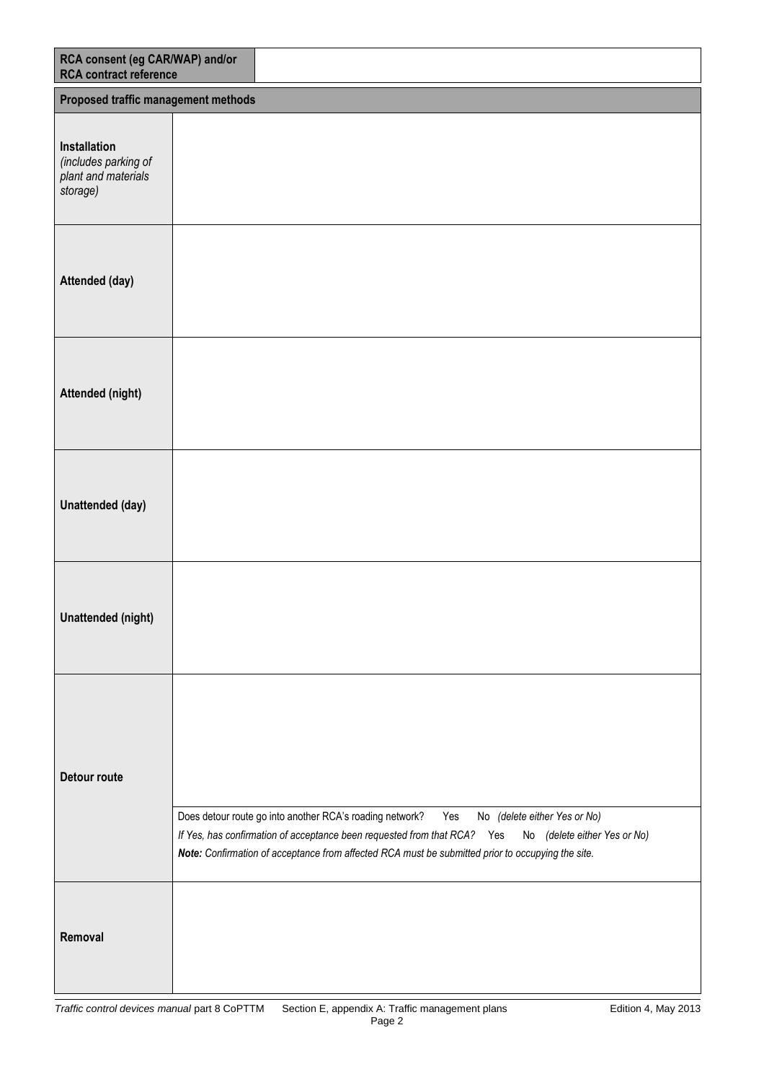| RCA consent (eg CAR/WAP) and/or<br><b>RCA</b> contract reference        |                                                                                                                                                                                                                                                                                                                  |
|-------------------------------------------------------------------------|------------------------------------------------------------------------------------------------------------------------------------------------------------------------------------------------------------------------------------------------------------------------------------------------------------------|
| Proposed traffic management methods                                     |                                                                                                                                                                                                                                                                                                                  |
| Installation<br>(includes parking of<br>plant and materials<br>storage) |                                                                                                                                                                                                                                                                                                                  |
| Attended (day)                                                          |                                                                                                                                                                                                                                                                                                                  |
| Attended (night)                                                        |                                                                                                                                                                                                                                                                                                                  |
| Unattended (day)                                                        |                                                                                                                                                                                                                                                                                                                  |
| <b>Unattended (night)</b>                                               |                                                                                                                                                                                                                                                                                                                  |
| Detour route                                                            | Does detour route go into another RCA's roading network?<br>Yes<br>No (delete either Yes or No)<br>If Yes, has confirmation of acceptance been requested from that RCA? Yes<br>No (delete either Yes or No)<br>Note: Confirmation of acceptance from affected RCA must be submitted prior to occupying the site. |
| Removal                                                                 |                                                                                                                                                                                                                                                                                                                  |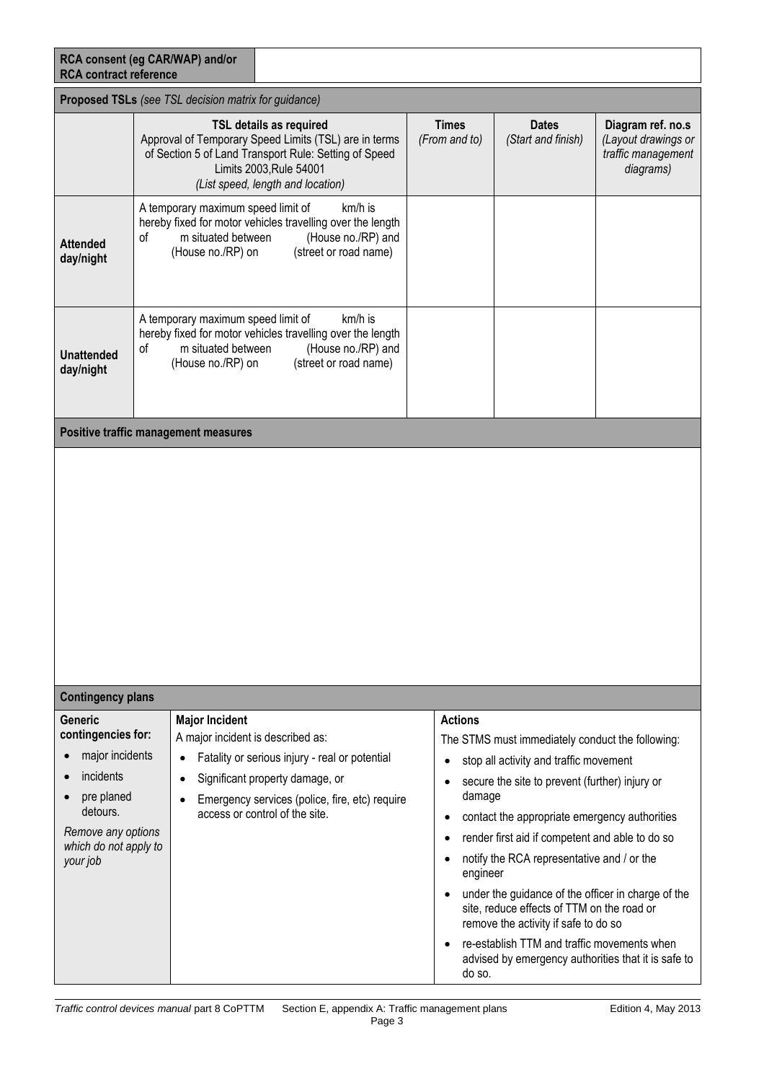| <b>RCA contract reference</b>                                                                                                                             | RCA consent (eg CAR/WAP) and/or                                                     |                                                                                                                                                                                                                  |                                                                                                           |                                                                                                                                                                                                                                                                                                                                                                                                                                                                                                                                                                                  |                                                                             |  |  |  |
|-----------------------------------------------------------------------------------------------------------------------------------------------------------|-------------------------------------------------------------------------------------|------------------------------------------------------------------------------------------------------------------------------------------------------------------------------------------------------------------|-----------------------------------------------------------------------------------------------------------|----------------------------------------------------------------------------------------------------------------------------------------------------------------------------------------------------------------------------------------------------------------------------------------------------------------------------------------------------------------------------------------------------------------------------------------------------------------------------------------------------------------------------------------------------------------------------------|-----------------------------------------------------------------------------|--|--|--|
| Proposed TSLs (see TSL decision matrix for guidance)                                                                                                      |                                                                                     |                                                                                                                                                                                                                  |                                                                                                           |                                                                                                                                                                                                                                                                                                                                                                                                                                                                                                                                                                                  |                                                                             |  |  |  |
|                                                                                                                                                           |                                                                                     | <b>TSL details as required</b><br>Approval of Temporary Speed Limits (TSL) are in terms<br>of Section 5 of Land Transport Rule: Setting of Speed<br>Limits 2003, Rule 54001<br>(List speed, length and location) | <b>Times</b><br>(From and to)                                                                             | <b>Dates</b><br>(Start and finish)                                                                                                                                                                                                                                                                                                                                                                                                                                                                                                                                               | Diagram ref. no.s<br>(Layout drawings or<br>traffic management<br>diagrams) |  |  |  |
| <b>Attended</b><br>day/night                                                                                                                              | A temporary maximum speed limit of<br>m situated between<br>οf<br>(House no./RP) on | km/h is<br>hereby fixed for motor vehicles travelling over the length<br>(House no./RP) and<br>(street or road name)                                                                                             |                                                                                                           |                                                                                                                                                                                                                                                                                                                                                                                                                                                                                                                                                                                  |                                                                             |  |  |  |
| <b>Unattended</b><br>day/night                                                                                                                            | A temporary maximum speed limit of<br>m situated between<br>οf<br>(House no./RP) on | km/h is<br>hereby fixed for motor vehicles travelling over the length<br>(House no./RP) and<br>(street or road name)                                                                                             |                                                                                                           |                                                                                                                                                                                                                                                                                                                                                                                                                                                                                                                                                                                  |                                                                             |  |  |  |
|                                                                                                                                                           | <b>Positive traffic management measures</b>                                         |                                                                                                                                                                                                                  |                                                                                                           |                                                                                                                                                                                                                                                                                                                                                                                                                                                                                                                                                                                  |                                                                             |  |  |  |
|                                                                                                                                                           |                                                                                     |                                                                                                                                                                                                                  |                                                                                                           |                                                                                                                                                                                                                                                                                                                                                                                                                                                                                                                                                                                  |                                                                             |  |  |  |
| <b>Contingency plans</b>                                                                                                                                  |                                                                                     |                                                                                                                                                                                                                  |                                                                                                           |                                                                                                                                                                                                                                                                                                                                                                                                                                                                                                                                                                                  |                                                                             |  |  |  |
| <b>Generic</b><br>contingencies for:<br>major incidents<br>incidents<br>pre planed<br>detours.<br>Remove any options<br>which do not apply to<br>your job | <b>Major Incident</b><br>A major incident is described as:                          | Fatality or serious injury - real or potential<br>Significant property damage, or<br>Emergency services (police, fire, etc) require<br>access or control of the site.                                            | <b>Actions</b><br>$\bullet$<br>$\bullet$<br>$\bullet$<br>$\bullet$<br>$\bullet$<br>$\bullet$<br>$\bullet$ | The STMS must immediately conduct the following:<br>stop all activity and traffic movement<br>secure the site to prevent (further) injury or<br>damage<br>contact the appropriate emergency authorities<br>render first aid if competent and able to do so<br>notify the RCA representative and / or the<br>engineer<br>under the guidance of the officer in charge of the<br>site, reduce effects of TTM on the road or<br>remove the activity if safe to do so<br>re-establish TTM and traffic movements when<br>advised by emergency authorities that it is safe to<br>do so. |                                                                             |  |  |  |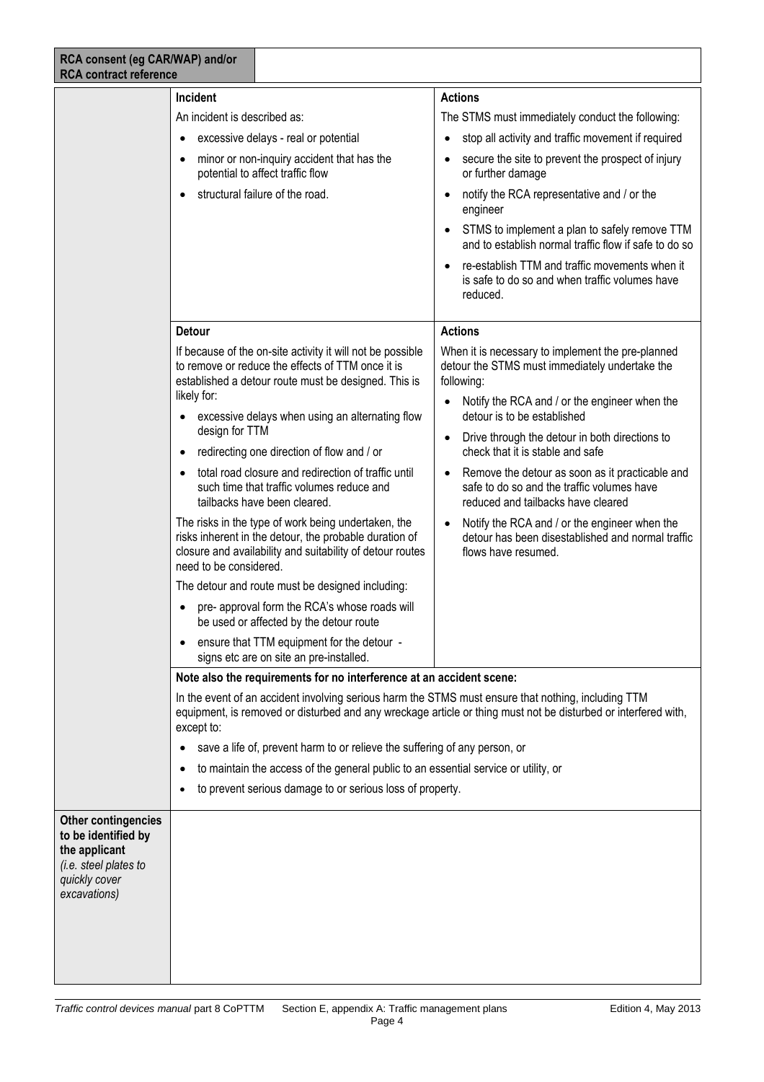| RCA consent (eg CAR/WAP) and/or<br><b>RCA contract reference</b>                                                             |                                                                                                                                                                                                                                                                                                                                                                                                                                                                                                                                                                                                                                                                                                                                                                                                                                                                      |                                                                                                                                                                                                                                                                                                                                                                                                                                                                                                                                                                                            |  |  |
|------------------------------------------------------------------------------------------------------------------------------|----------------------------------------------------------------------------------------------------------------------------------------------------------------------------------------------------------------------------------------------------------------------------------------------------------------------------------------------------------------------------------------------------------------------------------------------------------------------------------------------------------------------------------------------------------------------------------------------------------------------------------------------------------------------------------------------------------------------------------------------------------------------------------------------------------------------------------------------------------------------|--------------------------------------------------------------------------------------------------------------------------------------------------------------------------------------------------------------------------------------------------------------------------------------------------------------------------------------------------------------------------------------------------------------------------------------------------------------------------------------------------------------------------------------------------------------------------------------------|--|--|
|                                                                                                                              | <b>Incident</b><br>An incident is described as:<br>excessive delays - real or potential<br>minor or non-inquiry accident that has the<br>potential to affect traffic flow<br>structural failure of the road.                                                                                                                                                                                                                                                                                                                                                                                                                                                                                                                                                                                                                                                         | <b>Actions</b><br>The STMS must immediately conduct the following:<br>stop all activity and traffic movement if required<br>secure the site to prevent the prospect of injury<br>or further damage<br>notify the RCA representative and / or the<br>$\bullet$<br>engineer<br>STMS to implement a plan to safely remove TTM<br>and to establish normal traffic flow if safe to do so<br>re-establish TTM and traffic movements when it<br>is safe to do so and when traffic volumes have<br>reduced.                                                                                        |  |  |
|                                                                                                                              | <b>Detour</b><br>If because of the on-site activity it will not be possible<br>to remove or reduce the effects of TTM once it is<br>established a detour route must be designed. This is<br>likely for:<br>excessive delays when using an alternating flow<br>design for TTM<br>redirecting one direction of flow and / or<br>total road closure and redirection of traffic until<br>such time that traffic volumes reduce and<br>tailbacks have been cleared.<br>The risks in the type of work being undertaken, the<br>risks inherent in the detour, the probable duration of<br>closure and availability and suitability of detour routes<br>need to be considered.<br>The detour and route must be designed including:<br>pre- approval form the RCA's whose roads will<br>be used or affected by the detour route<br>ensure that TTM equipment for the detour - | <b>Actions</b><br>When it is necessary to implement the pre-planned<br>detour the STMS must immediately undertake the<br>following:<br>Notify the RCA and / or the engineer when the<br>detour is to be established<br>Drive through the detour in both directions to<br>$\bullet$<br>check that it is stable and safe<br>Remove the detour as soon as it practicable and<br>safe to do so and the traffic volumes have<br>reduced and tailbacks have cleared<br>Notify the RCA and / or the engineer when the<br>detour has been disestablished and normal traffic<br>flows have resumed. |  |  |
| <b>Other contingencies</b><br>to be identified by<br>the applicant<br>(i.e. steel plates to<br>quickly cover<br>excavations) | signs etc are on site an pre-installed.<br>Note also the requirements for no interference at an accident scene:<br>In the event of an accident involving serious harm the STMS must ensure that nothing, including TTM<br>equipment, is removed or disturbed and any wreckage article or thing must not be disturbed or interfered with,<br>except to:<br>save a life of, prevent harm to or relieve the suffering of any person, or<br>to maintain the access of the general public to an essential service or utility, or<br>to prevent serious damage to or serious loss of property.                                                                                                                                                                                                                                                                             |                                                                                                                                                                                                                                                                                                                                                                                                                                                                                                                                                                                            |  |  |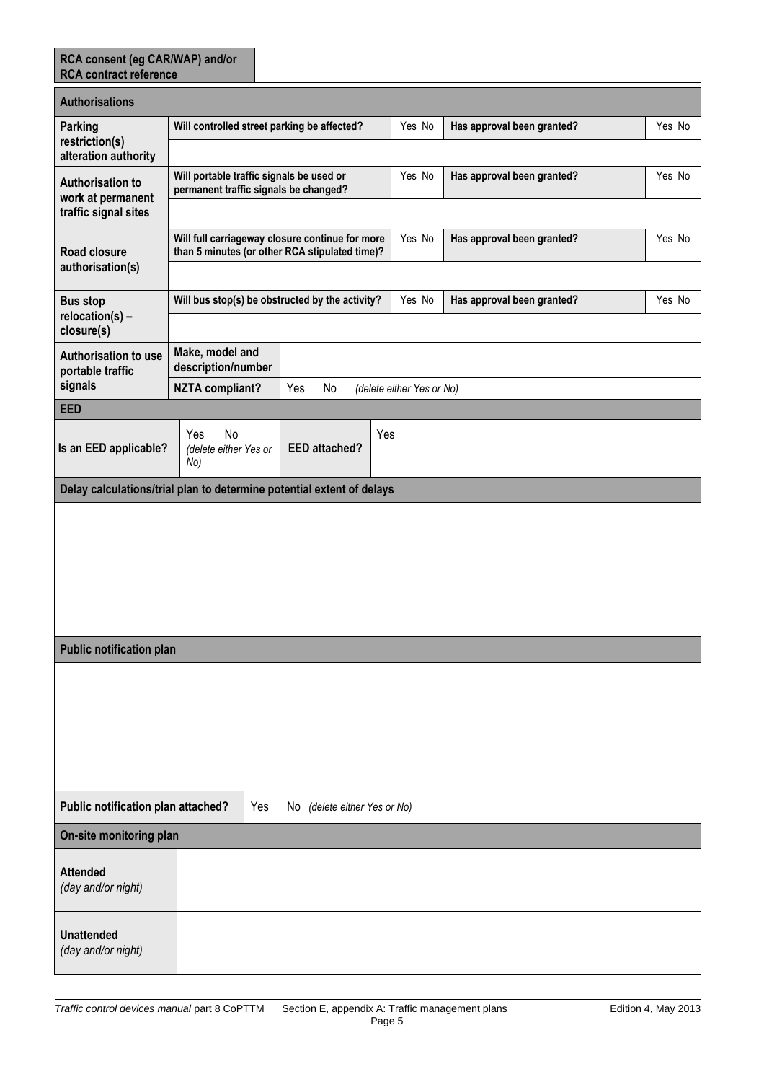| RCA consent (eg CAR/WAP) and/or<br><b>RCA</b> contract reference |                                                  |                                                                                                   |     |                           |                            |        |
|------------------------------------------------------------------|--------------------------------------------------|---------------------------------------------------------------------------------------------------|-----|---------------------------|----------------------------|--------|
| <b>Authorisations</b>                                            |                                                  |                                                                                                   |     |                           |                            |        |
| Parking<br>restriction(s)                                        |                                                  | Will controlled street parking be affected?                                                       |     | Yes No                    | Has approval been granted? | Yes No |
| alteration authority                                             |                                                  |                                                                                                   |     |                           |                            |        |
| <b>Authorisation to</b><br>work at permanent                     |                                                  | Will portable traffic signals be used or<br>permanent traffic signals be changed?                 |     | Yes No                    | Has approval been granted? | Yes No |
| traffic signal sites                                             |                                                  |                                                                                                   |     |                           |                            |        |
| Road closure<br>authorisation(s)                                 |                                                  | Will full carriageway closure continue for more<br>than 5 minutes (or other RCA stipulated time)? |     | Yes No                    | Has approval been granted? | Yes No |
|                                                                  |                                                  |                                                                                                   |     |                           |                            |        |
| <b>Bus stop</b><br>relocation(s) -<br>closure(s)                 |                                                  | Yes No<br>Will bus stop(s) be obstructed by the activity?<br>Has approval been granted?<br>Yes No |     |                           |                            |        |
| Authorisation to use<br>portable traffic                         | Make, model and<br>description/number            |                                                                                                   |     |                           |                            |        |
| signals                                                          | <b>NZTA compliant?</b>                           | Yes<br>No                                                                                         |     | (delete either Yes or No) |                            |        |
| <b>EED</b>                                                       |                                                  |                                                                                                   |     |                           |                            |        |
| Is an EED applicable?                                            | No<br><b>Yes</b><br>(delete either Yes or<br>No) | <b>EED</b> attached?                                                                              | Yes |                           |                            |        |
|                                                                  |                                                  | Delay calculations/trial plan to determine potential extent of delays                             |     |                           |                            |        |
|                                                                  |                                                  |                                                                                                   |     |                           |                            |        |
| <b>Public notification plan</b>                                  |                                                  |                                                                                                   |     |                           |                            |        |
|                                                                  |                                                  |                                                                                                   |     |                           |                            |        |
| Public notification plan attached?                               | Yes<br>No (delete either Yes or No)              |                                                                                                   |     |                           |                            |        |
| On-site monitoring plan                                          |                                                  |                                                                                                   |     |                           |                            |        |
| <b>Attended</b><br>(day and/or night)                            |                                                  |                                                                                                   |     |                           |                            |        |
| <b>Unattended</b><br>(day and/or night)                          |                                                  |                                                                                                   |     |                           |                            |        |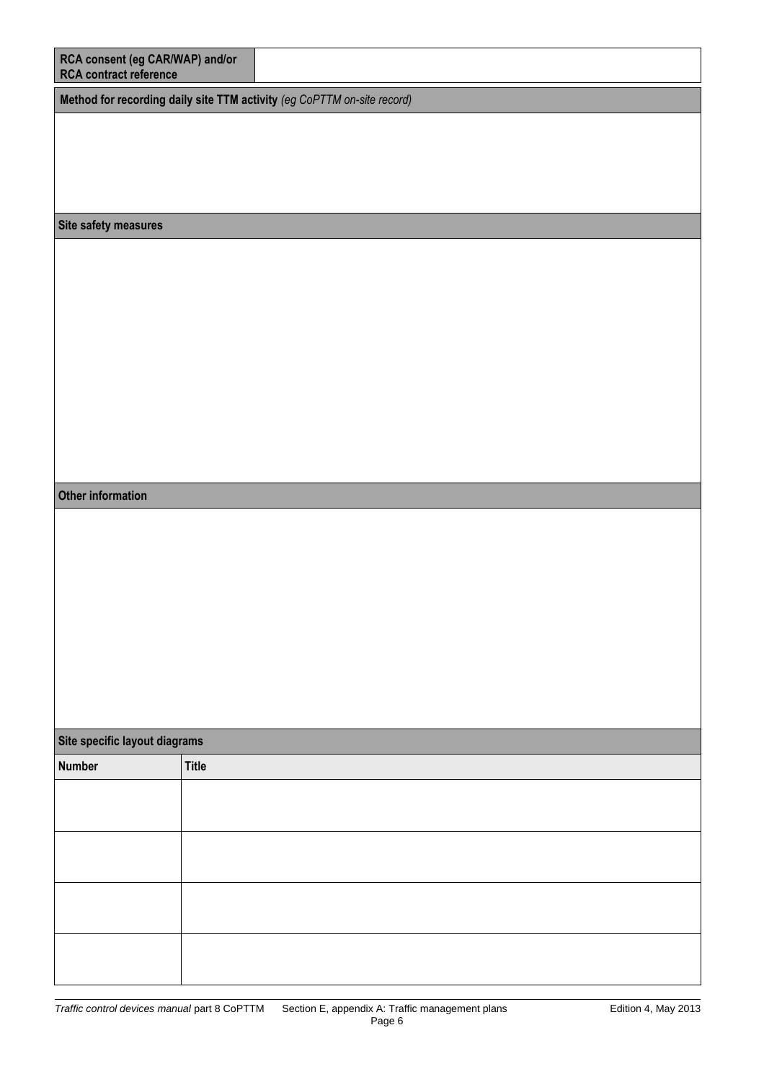| RCA consent (eg CAR/WAP) and/or<br><b>RCA</b> contract reference        |              |  |  |  |  |  |
|-------------------------------------------------------------------------|--------------|--|--|--|--|--|
| Method for recording daily site TTM activity (eg CoPTTM on-site record) |              |  |  |  |  |  |
|                                                                         |              |  |  |  |  |  |
|                                                                         |              |  |  |  |  |  |
|                                                                         |              |  |  |  |  |  |
|                                                                         |              |  |  |  |  |  |
| Site safety measures                                                    |              |  |  |  |  |  |
|                                                                         |              |  |  |  |  |  |
|                                                                         |              |  |  |  |  |  |
|                                                                         |              |  |  |  |  |  |
|                                                                         |              |  |  |  |  |  |
|                                                                         |              |  |  |  |  |  |
|                                                                         |              |  |  |  |  |  |
|                                                                         |              |  |  |  |  |  |
|                                                                         |              |  |  |  |  |  |
| Other information                                                       |              |  |  |  |  |  |
|                                                                         |              |  |  |  |  |  |
|                                                                         |              |  |  |  |  |  |
|                                                                         |              |  |  |  |  |  |
|                                                                         |              |  |  |  |  |  |
|                                                                         |              |  |  |  |  |  |
|                                                                         |              |  |  |  |  |  |
|                                                                         |              |  |  |  |  |  |
|                                                                         |              |  |  |  |  |  |
| Site specific layout diagrams                                           |              |  |  |  |  |  |
| <b>Number</b>                                                           | <b>Title</b> |  |  |  |  |  |
|                                                                         |              |  |  |  |  |  |
|                                                                         |              |  |  |  |  |  |
|                                                                         |              |  |  |  |  |  |
|                                                                         |              |  |  |  |  |  |
|                                                                         |              |  |  |  |  |  |
|                                                                         |              |  |  |  |  |  |
|                                                                         |              |  |  |  |  |  |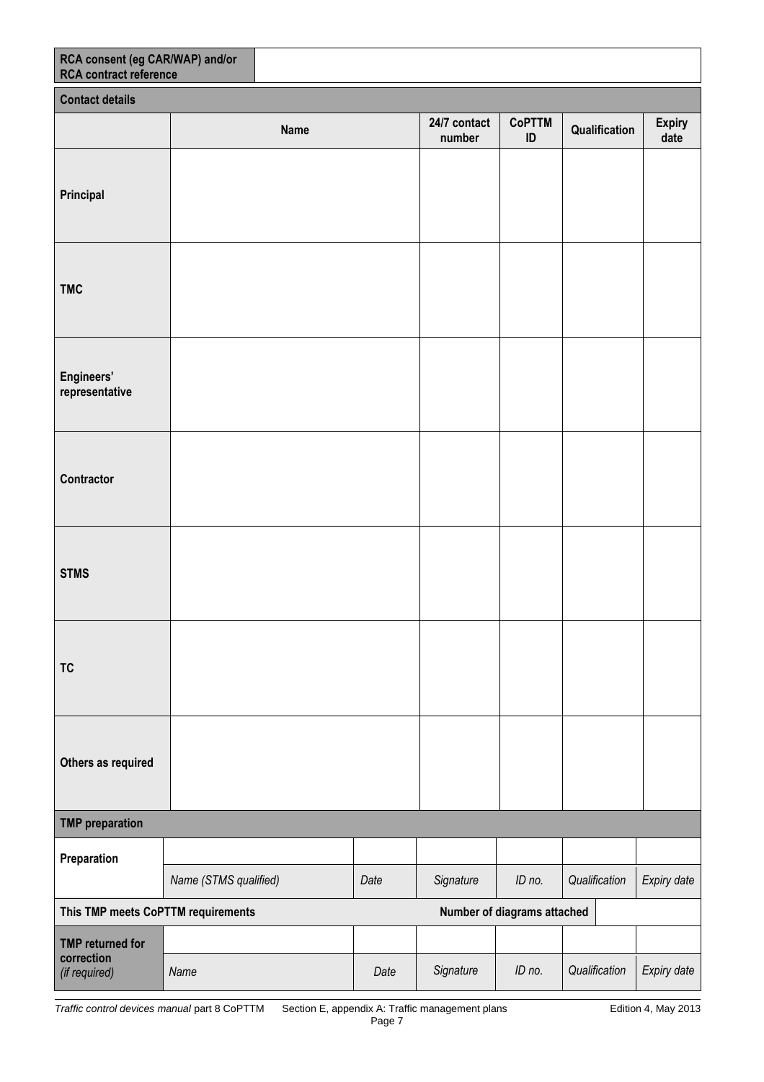| RCA consent (eg CAR/WAP) and/or<br><b>RCA</b> contract reference |                       |             |      |                        |                             |               |                |  |
|------------------------------------------------------------------|-----------------------|-------------|------|------------------------|-----------------------------|---------------|----------------|--|
| <b>Contact details</b>                                           |                       |             |      |                        |                             |               |                |  |
|                                                                  |                       | <b>Name</b> |      | 24/7 contact<br>number | <b>CoPTTM</b><br>ID         | Qualification | Expiry<br>date |  |
| Principal                                                        |                       |             |      |                        |                             |               |                |  |
| <b>TMC</b>                                                       |                       |             |      |                        |                             |               |                |  |
| Engineers'<br>representative                                     |                       |             |      |                        |                             |               |                |  |
| Contractor                                                       |                       |             |      |                        |                             |               |                |  |
| <b>STMS</b>                                                      |                       |             |      |                        |                             |               |                |  |
| <b>TC</b>                                                        |                       |             |      |                        |                             |               |                |  |
| Others as required                                               |                       |             |      |                        |                             |               |                |  |
| <b>TMP</b> preparation                                           |                       |             |      |                        |                             |               |                |  |
| Preparation                                                      | Name (STMS qualified) |             | Date | Signature              | ID no.                      | Qualification | Expiry date    |  |
| This TMP meets CoPTTM requirements                               |                       |             |      |                        |                             |               |                |  |
|                                                                  |                       |             |      |                        | Number of diagrams attached |               |                |  |
| <b>TMP</b> returned for<br>correction<br>(if required)           | Name                  |             | Date | Signature              | ID no.                      | Qualification | Expiry date    |  |